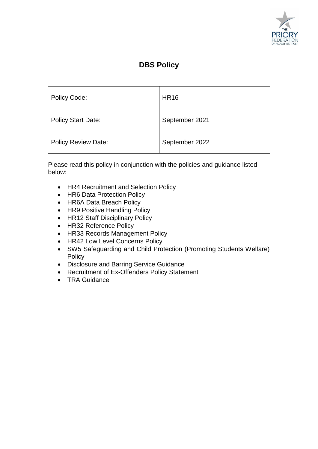

# **DBS Policy**

| Policy Code:               | <b>HR16</b>    |
|----------------------------|----------------|
| <b>Policy Start Date:</b>  | September 2021 |
| <b>Policy Review Date:</b> | September 2022 |

Please read this policy in conjunction with the policies and guidance listed below:

- HR4 Recruitment and Selection Policy
- HR6 Data Protection Policy
- HR6A Data Breach Policy
- HR9 Positive Handling Policy
- HR12 Staff Disciplinary Policy
- HR32 Reference Policy
- HR33 Records Management Policy
- HR42 Low Level Concerns Policy
- SW5 Safeguarding and Child Protection (Promoting Students Welfare) **Policy**
- Disclosure and Barring Service Guidance
- Recruitment of Ex-Offenders Policy Statement
- TRA Guidance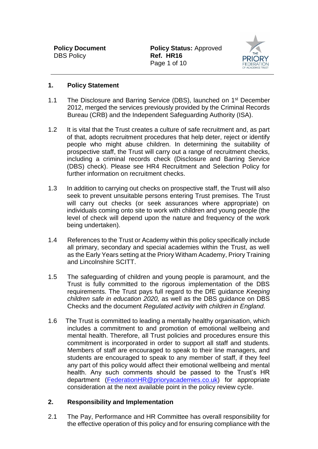

#### **1. Policy Statement**

- 1.1 The Disclosure and Barring Service (DBS), launched on 1<sup>st</sup> December 2012, merged the services previously provided by the Criminal Records Bureau (CRB) and the Independent Safeguarding Authority (ISA).
- 1.2 It is vital that the Trust creates a culture of safe recruitment and, as part of that, adopts recruitment procedures that help deter, reject or identify people who might abuse children. In determining the suitability of prospective staff, the Trust will carry out a range of recruitment checks, including a criminal records check (Disclosure and Barring Service (DBS) check). Please see HR4 Recruitment and Selection Policy for further information on recruitment checks.
- 1.3 In addition to carrying out checks on prospective staff, the Trust will also seek to prevent unsuitable persons entering Trust premises. The Trust will carry out checks (or seek assurances where appropriate) on individuals coming onto site to work with children and young people (the level of check will depend upon the nature and frequency of the work being undertaken).
- 1.4 References to the Trust or Academy within this policy specifically include all primary, secondary and special academies within the Trust, as well as the Early Years setting at the Priory Witham Academy, Priory Training and Lincolnshire SCITT.
- 1.5 The safeguarding of children and young people is paramount, and the Trust is fully committed to the rigorous implementation of the DBS requirements. The Trust pays full regard to the DfE guidance *Keeping children safe in education 2020,* as well as the DBS guidance on DBS Checks and the document *Regulated activity with children in England.*
- 1.6 The Trust is committed to leading a mentally healthy organisation, which includes a commitment to and promotion of emotional wellbeing and mental health. Therefore, all Trust policies and procedures ensure this commitment is incorporated in order to support all staff and students. Members of staff are encouraged to speak to their line managers, and students are encouraged to speak to any member of staff, if they feel any part of this policy would affect their emotional wellbeing and mental health. Any such comments should be passed to the Trust's HR department [\(FederationHR@prioryacademies.co.uk\)](mailto:FederationHR@prioryacademies.co.uk) for appropriate consideration at the next available point in the policy review cycle.

#### **2. Responsibility and Implementation**

2.1 The Pay, Performance and HR Committee has overall responsibility for the effective operation of this policy and for ensuring compliance with the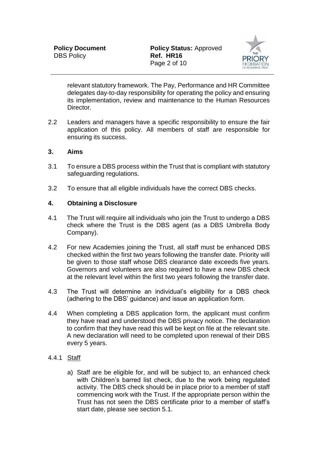

relevant statutory framework. The Pay, Performance and HR Committee delegates day-to-day responsibility for operating the policy and ensuring its implementation, review and maintenance to the Human Resources Director.

2.2 Leaders and managers have a specific responsibility to ensure the fair application of this policy. All members of staff are responsible for ensuring its success.

#### **3. Aims**

- 3.1 To ensure a DBS process within the Trust that is compliant with statutory safeguarding regulations.
- 3.2 To ensure that all eligible individuals have the correct DBS checks.

#### **4. Obtaining a Disclosure**

- 4.1 The Trust will require all individuals who join the Trust to undergo a DBS check where the Trust is the DBS agent (as a DBS Umbrella Body Company).
- 4.2 For new Academies joining the Trust, all staff must be enhanced DBS checked within the first two years following the transfer date. Priority will be given to those staff whose DBS clearance date exceeds five years. Governors and volunteers are also required to have a new DBS check at the relevant level within the first two years following the transfer date.
- 4.3 The Trust will determine an individual's eligibility for a DBS check (adhering to the DBS' guidance) and issue an application form.
- 4.4 When completing a DBS application form, the applicant must confirm they have read and understood the DBS privacy notice. The declaration to confirm that they have read this will be kept on file at the relevant site. A new declaration will need to be completed upon renewal of their DBS every 5 years.

#### 4.4.1 Staff

a) Staff are be eligible for, and will be subject to, an enhanced check with Children's barred list check, due to the work being regulated activity. The DBS check should be in place prior to a member of staff commencing work with the Trust. If the appropriate person within the Trust has not seen the DBS certificate prior to a member of staff's start date, please see section 5.1.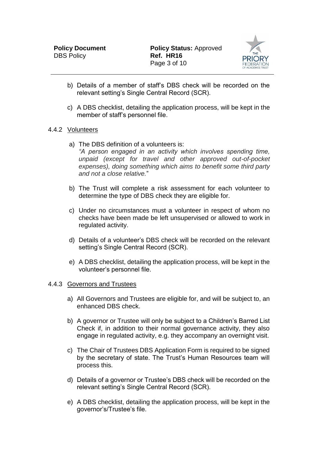

- b) Details of a member of staff's DBS check will be recorded on the relevant setting's Single Central Record (SCR).
- c) A DBS checklist, detailing the application process, will be kept in the member of staff's personnel file.

### 4.4.2 Volunteers

- a) The DBS definition of a volunteers is: *"A person engaged in an activity which involves spending time, unpaid (except for travel and other approved out-of-pocket expenses), doing something which aims to benefit some third party and not a close relative.*"
- b) The Trust will complete a risk assessment for each volunteer to determine the type of DBS check they are eligible for.
- c) Under no circumstances must a volunteer in respect of whom no checks have been made be left unsupervised or allowed to work in regulated activity.
- d) Details of a volunteer's DBS check will be recorded on the relevant setting's Single Central Record (SCR).
- e) A DBS checklist, detailing the application process, will be kept in the volunteer's personnel file.

#### 4.4.3 Governors and Trustees

- a) All Governors and Trustees are eligible for, and will be subject to, an enhanced DBS check.
- b) A governor or Trustee will only be subject to a Children's Barred List Check if, in addition to their normal governance activity, they also engage in regulated activity, e.g. they accompany an overnight visit.
- c) The Chair of Trustees DBS Application Form is required to be signed by the secretary of state. The Trust's Human Resources team will process this.
- d) Details of a governor or Trustee's DBS check will be recorded on the relevant setting's Single Central Record (SCR).
- e) A DBS checklist, detailing the application process, will be kept in the governor's/Trustee's file.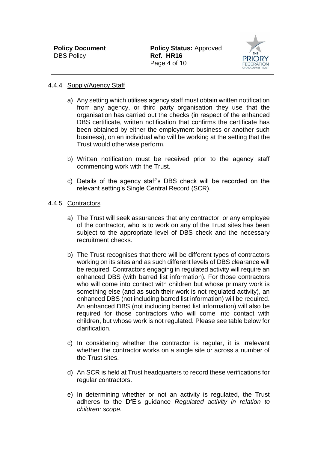

#### 4.4.4 Supply/Agency Staff

- a) Any setting which utilises agency staff must obtain written notification from any agency, or third party organisation they use that the organisation has carried out the checks (in respect of the enhanced DBS certificate, written notification that confirms the certificate has been obtained by either the employment business or another such business), on an individual who will be working at the setting that the Trust would otherwise perform.
- b) Written notification must be received prior to the agency staff commencing work with the Trust.
- c) Details of the agency staff's DBS check will be recorded on the relevant setting's Single Central Record (SCR).

#### 4.4.5 Contractors

- a) The Trust will seek assurances that any contractor, or any employee of the contractor, who is to work on any of the Trust sites has been subject to the appropriate level of DBS check and the necessary recruitment checks.
- b) The Trust recognises that there will be different types of contractors working on its sites and as such different levels of DBS clearance will be required. Contractors engaging in regulated activity will require an enhanced DBS (with barred list information). For those contractors who will come into contact with children but whose primary work is something else (and as such their work is not regulated activity), an enhanced DBS (not including barred list information) will be required. An enhanced DBS (not including barred list information) will also be required for those contractors who will come into contact with children, but whose work is not regulated. Please see table below for clarification.
- c) In considering whether the contractor is regular, it is irrelevant whether the contractor works on a single site or across a number of the Trust sites.
- d) An SCR is held at Trust headquarters to record these verifications for regular contractors.
- e) In determining whether or not an activity is regulated, the Trust adheres to the DfE's guidance *Regulated activity in relation to children: scope.*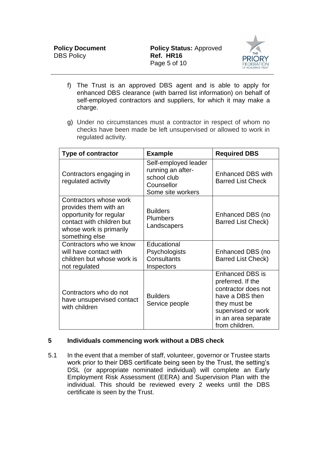

- f) The Trust is an approved DBS agent and is able to apply for enhanced DBS clearance (with barred list information) on behalf of self-employed contractors and suppliers, for which it may make a charge.
- g) Under no circumstances must a contractor in respect of whom no checks have been made be left unsupervised or allowed to work in regulated activity.

| <b>Type of contractor</b>                                                                                                                            | <b>Example</b>                                                                              | <b>Required DBS</b>                                                                                                                                                  |
|------------------------------------------------------------------------------------------------------------------------------------------------------|---------------------------------------------------------------------------------------------|----------------------------------------------------------------------------------------------------------------------------------------------------------------------|
| Contractors engaging in<br>regulated activity                                                                                                        | Self-employed leader<br>running an after-<br>school club<br>Counsellor<br>Some site workers | Enhanced DBS with<br><b>Barred List Check</b>                                                                                                                        |
| Contractors whose work<br>provides them with an<br>opportunity for regular<br>contact with children but<br>whose work is primarily<br>something else | <b>Builders</b><br><b>Plumbers</b><br>Landscapers                                           | Enhanced DBS (no<br><b>Barred List Check)</b>                                                                                                                        |
| Contractors who we know<br>will have contact with<br>children but whose work is<br>not regulated                                                     | Educational<br>Psychologists<br>Consultants<br>Inspectors                                   | Enhanced DBS (no<br><b>Barred List Check)</b>                                                                                                                        |
| Contractors who do not<br>have unsupervised contact<br>with children                                                                                 | <b>Builders</b><br>Service people                                                           | <b>Enhanced DBS is</b><br>preferred. If the<br>contractor does not<br>have a DBS then<br>they must be<br>supervised or work<br>in an area separate<br>from children. |

# **5 Individuals commencing work without a DBS check**

5.1 In the event that a member of staff, volunteer, governor or Trustee starts work prior to their DBS certificate being seen by the Trust, the setting's DSL (or appropriate nominated individual) will complete an Early Employment Risk Assessment (EERA) and Supervision Plan with the individual. This should be reviewed every 2 weeks until the DBS certificate is seen by the Trust.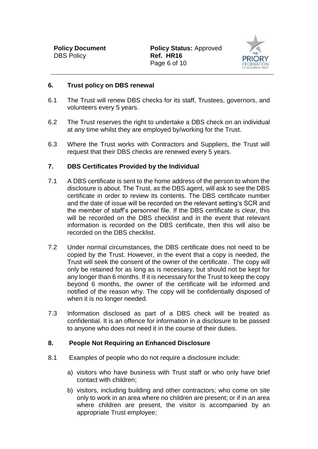**Policy Document Policy Status: Approved** Page 6 of 10



#### **6. Trust policy on DBS renewal**

- 6.1 The Trust will renew DBS checks for its staff, Trustees, governors, and volunteers every 5 years.
- 6.2 The Trust reserves the right to undertake a DBS check on an individual at any time whilst they are employed by/working for the Trust.
- 6.3 Where the Trust works with Contractors and Suppliers, the Trust will request that their DBS checks are renewed every 5 years.

#### **7. DBS Certificates Provided by the Individual**

- 7.1 A DBS certificate is sent to the home address of the person to whom the disclosure is about. The Trust, as the DBS agent, will ask to see the DBS certificate in order to review its contents. The DBS certificate number and the date of issue will be recorded on the relevant setting's SCR and the member of staff's personnel file. If the DBS certificate is clear, this will be recorded on the DBS checklist and in the event that relevant information is recorded on the DBS certificate, then this will also be recorded on the DBS checklist.
- 7.2 Under normal circumstances, the DBS certificate does not need to be copied by the Trust. However, in the event that a copy is needed, the Trust will seek the consent of the owner of the certificate. The copy will only be retained for as long as is necessary, but should not be kept for any longer than 6 months. If it is necessary for the Trust to keep the copy beyond 6 months, the owner of the certificate will be informed and notified of the reason why. The copy will be confidentially disposed of when it is no longer needed.
- 7.3 Information disclosed as part of a DBS check will be treated as confidential. It is an offence for information in a disclosure to be passed to anyone who does not need it in the course of their duties.

#### **8. People Not Requiring an Enhanced Disclosure**

- 8.1 Examples of people who do not require a disclosure include:
	- a) visitors who have business with Trust staff or who only have brief contact with children;
	- b) visitors, including building and other contractors; who come on site only to work in an area where no children are present; or if in an area where children are present, the visitor is accompanied by an appropriate Trust employee;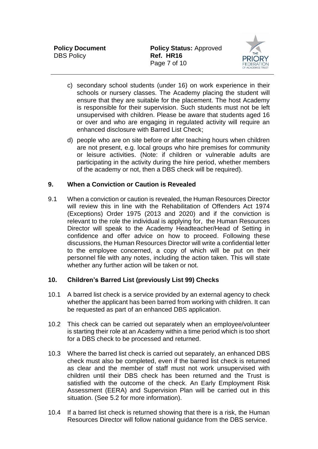

- c) secondary school students (under 16) on work experience in their schools or nursery classes. The Academy placing the student will ensure that they are suitable for the placement. The host Academy is responsible for their supervision. Such students must not be left unsupervised with children. Please be aware that students aged 16 or over and who are engaging in regulated activity will require an enhanced disclosure with Barred List Check;
- d) people who are on site before or after teaching hours when children are not present, e.g. local groups who hire premises for community or leisure activities. (Note: if children or vulnerable adults are participating in the activity during the hire period, whether members of the academy or not, then a DBS check will be required).

# **9. When a Conviction or Caution is Revealed**

9.1 When a conviction or caution is revealed, the Human Resources Director will review this in line with the Rehabilitation of Offenders Act 1974 (Exceptions) Order 1975 (2013 and 2020) and if the conviction is relevant to the role the individual is applying for, the Human Resources Director will speak to the Academy Headteacher/Head of Setting in confidence and offer advice on how to proceed. Following these discussions, the Human Resources Director will write a confidential letter to the employee concerned, a copy of which will be put on their personnel file with any notes, including the action taken. This will state whether any further action will be taken or not.

# **10. Children's Barred List (previously List 99) Checks**

- 10.1 A barred list check is a service provided by an external agency to check whether the applicant has been barred from working with children. It can be requested as part of an enhanced DBS application.
- 10.2 This check can be carried out separately when an employee/volunteer is starting their role at an Academy within a time period which is too short for a DBS check to be processed and returned.
- 10.3 Where the barred list check is carried out separately, an enhanced DBS check must also be completed, even if the barred list check is returned as clear and the member of staff must not work unsupervised with children until their DBS check has been returned and the Trust is satisfied with the outcome of the check. An Early Employment Risk Assessment (EERA) and Supervision Plan will be carried out in this situation. (See 5.2 for more information).
- 10.4 If a barred list check is returned showing that there is a risk, the Human Resources Director will follow national guidance from the DBS service.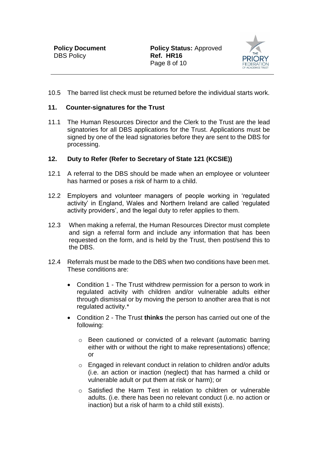

10.5 The barred list check must be returned before the individual starts work.

#### **11. Counter-signatures for the Trust**

11.1 The Human Resources Director and the Clerk to the Trust are the lead signatories for all DBS applications for the Trust. Applications must be signed by one of the lead signatories before they are sent to the DBS for processing.

#### **12. Duty to Refer (Refer to Secretary of State 121 (KCSIE))**

- 12.1 A referral to the DBS should be made when an employee or volunteer has harmed or poses a risk of harm to a child.
- 12.2 Employers and volunteer managers of people working in 'regulated activity' in England, Wales and Northern Ireland are called 'regulated activity providers', and the legal duty to refer applies to them.
- 12.3 When making a referral, the Human Resources Director must complete and sign a referral form and include any information that has been requested on the form, and is held by the Trust, then post/send this to the DBS.
- 12.4 Referrals must be made to the DBS when two conditions have been met. These conditions are:
	- Condition 1 The Trust withdrew permission for a person to work in regulated activity with children and/or vulnerable adults either through dismissal or by moving the person to another area that is not regulated activity.\*
	- Condition 2 The Trust **thinks** the person has carried out one of the following:
		- o Been cautioned or convicted of a relevant (automatic barring either with or without the right to make representations) offence; or
		- o Engaged in relevant conduct in relation to children and/or adults (i.e. an action or inaction (neglect) that has harmed a child or vulnerable adult or put them at risk or harm); or
		- o Satisfied the Harm Test in relation to children or vulnerable adults. (i.e. there has been no relevant conduct (i.e. no action or inaction) but a risk of harm to a child still exists).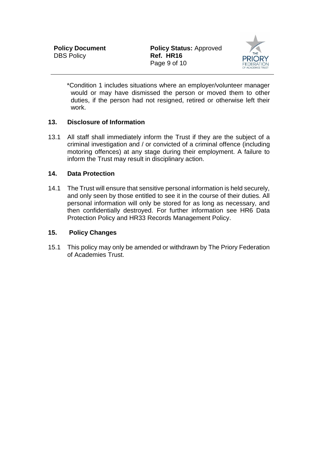

\*Condition 1 includes situations where an employer/volunteer manager would or may have dismissed the person or moved them to other duties, if the person had not resigned, retired or otherwise left their work.

# **13. Disclosure of Information**

13.1 All staff shall immediately inform the Trust if they are the subject of a criminal investigation and / or convicted of a criminal offence (including motoring offences) at any stage during their employment. A failure to inform the Trust may result in disciplinary action.

#### **14. Data Protection**

14.1 The Trust will ensure that sensitive personal information is held securely, and only seen by those entitled to see it in the course of their duties. All personal information will only be stored for as long as necessary, and then confidentially destroyed. For further information see HR6 Data Protection Policy and HR33 Records Management Policy.

#### **15. Policy Changes**

15.1 This policy may only be amended or withdrawn by The Priory Federation of Academies Trust.